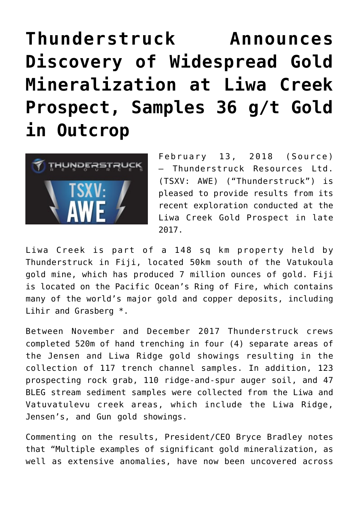# **[Thunderstruck Announces](https://investorintel.com/markets/gold-silver-base-metals/gold-precious-metals-news/thunderstruck-announces-discovery-widespread-gold-mineralization-liwa-creek-prospect-samples-36-g-t-gold-outcrop/) [Discovery of Widespread Gold](https://investorintel.com/markets/gold-silver-base-metals/gold-precious-metals-news/thunderstruck-announces-discovery-widespread-gold-mineralization-liwa-creek-prospect-samples-36-g-t-gold-outcrop/) [Mineralization at Liwa Creek](https://investorintel.com/markets/gold-silver-base-metals/gold-precious-metals-news/thunderstruck-announces-discovery-widespread-gold-mineralization-liwa-creek-prospect-samples-36-g-t-gold-outcrop/) [Prospect, Samples 36 g/t Gold](https://investorintel.com/markets/gold-silver-base-metals/gold-precious-metals-news/thunderstruck-announces-discovery-widespread-gold-mineralization-liwa-creek-prospect-samples-36-g-t-gold-outcrop/) [in Outcrop](https://investorintel.com/markets/gold-silver-base-metals/gold-precious-metals-news/thunderstruck-announces-discovery-widespread-gold-mineralization-liwa-creek-prospect-samples-36-g-t-gold-outcrop/)**



February 13, 2018 ([Source\)](https://investorintel.com/iintel-members/thunderstruck-resources-ltd/) — Thunderstruck Resources Ltd. (TSXV: AWE) ("Thunderstruck") is pleased to provide results from its recent exploration conducted at the Liwa Creek Gold Prospect in late 2017.

Liwa Creek is part of a 148 sq km property held by Thunderstruck in Fiji, located 50km south of the Vatukoula gold mine, which has produced 7 million ounces of gold. Fiji is located on the Pacific Ocean's Ring of Fire, which contains many of the world's major gold and copper deposits, including Lihir and Grasberg \*.

Between November and December 2017 Thunderstruck crews completed 520m of hand trenching in four (4) separate areas of the Jensen and Liwa Ridge gold showings resulting in the collection of 117 trench channel samples. In addition, 123 prospecting rock grab, 110 ridge-and-spur auger soil, and 47 BLEG stream sediment samples were collected from the Liwa and Vatuvatulevu creek areas, which include the Liwa Ridge, Jensen's, and Gun gold showings.

Commenting on the results, President/CEO Bryce Bradley notes that "Multiple examples of significant gold mineralization, as well as extensive anomalies, have now been uncovered across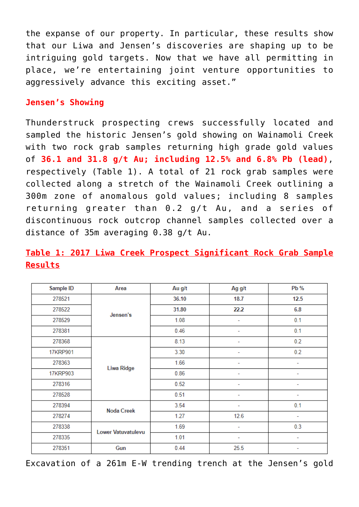the expanse of our property. In particular, these results show that our Liwa and Jensen's discoveries are shaping up to be intriguing gold targets. Now that we have all permitting in place, we're entertaining joint venture opportunities to aggressively advance this exciting asset."

# **Jensen's Showing**

Thunderstruck prospecting crews successfully located and sampled the historic Jensen's gold showing on Wainamoli Creek with two rock grab samples returning high grade gold values of **36.1 and 31.8 g/t Au; including 12.5% and 6.8% Pb (lead)**, respectively (Table 1). A total of 21 rock grab samples were collected along a stretch of the Wainamoli Creek outlining a 300m zone of anomalous gold values; including 8 samples returning greater than 0.2 g/t Au, and a series of discontinuous rock outcrop channel samples collected over a distance of 35m averaging 0.38 g/t Au.

# **Table 1: 2017 Liwa Creek Prospect Significant Rock Grab Sample Results**

| Sample ID | Area               | Au g/t | Ag g/t | Pb % |
|-----------|--------------------|--------|--------|------|
| 278521    |                    | 36.10  | 18.7   | 12.5 |
| 278522    | Jensen's           | 31.80  | 22.2   | 6.8  |
| 278529    |                    | 1.08   | ۰      | 0.1  |
| 278381    |                    | 0.46   |        | 0.1  |
| 278368    |                    | 8.13   |        | 0.2  |
| 17KRP901  | Liwa Ridge         | 3.30   | ۰      | 0.2  |
| 278363    |                    | 1.66   | ۰      | ۰    |
| 17KRP903  |                    | 0.86   | ۰      | ۰    |
| 278316    |                    | 0.52   | ٠      | ۰    |
| 278528    |                    | 0.51   |        |      |
| 278394    | <b>Noda Creek</b>  | 3.54   | ۰      | 0.1  |
| 278274    |                    | 1.27   | 12.6   | ۰    |
| 278338    | Lower Vatuvatulevu | 1.69   | ۰      | 0.3  |
| 278335    |                    | 1.01   | -      | ۰    |
| 278351    | Gun                | 0.44   | 25.5   | ۰    |

Excavation of a 261m E-W trending trench at the Jensen's gold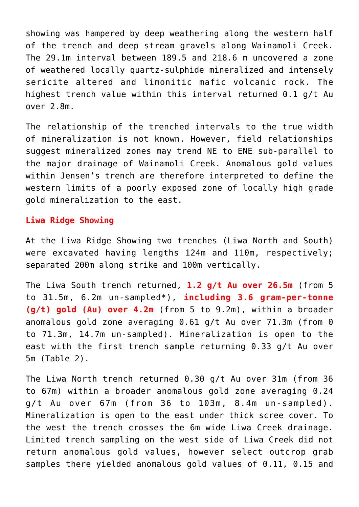showing was hampered by deep weathering along the western half of the trench and deep stream gravels along Wainamoli Creek. The 29.1m interval between 189.5 and 218.6 m uncovered a zone of weathered locally quartz-sulphide mineralized and intensely sericite altered and limonitic mafic volcanic rock. The highest trench value within this interval returned 0.1 g/t Au over 2.8m.

The relationship of the trenched intervals to the true width of mineralization is not known. However, field relationships suggest mineralized zones may trend NE to ENE sub-parallel to the major drainage of Wainamoli Creek. Anomalous gold values within Jensen's trench are therefore interpreted to define the western limits of a poorly exposed zone of locally high grade gold mineralization to the east.

# **Liwa Ridge Showing**

At the Liwa Ridge Showing two trenches (Liwa North and South) were excavated having lengths 124m and 110m, respectively; separated 200m along strike and 100m vertically.

The Liwa South trench returned, **1.2 g/t Au over 26.5m** (from 5 to 31.5m, 6.2m un-sampled\*), **including 3.6 gram-per-tonne (g/t) gold (Au) over 4.2m** (from 5 to 9.2m), within a broader anomalous gold zone averaging 0.61 g/t Au over 71.3m (from 0 to 71.3m, 14.7m un-sampled). Mineralization is open to the east with the first trench sample returning 0.33 g/t Au over 5m (Table 2).

The Liwa North trench returned 0.30 g/t Au over 31m (from 36 to 67m) within a broader anomalous gold zone averaging 0.24 g/t Au over 67m (from 36 to 103m, 8.4m un-sampled). Mineralization is open to the east under thick scree cover. To the west the trench crosses the 6m wide Liwa Creek drainage. Limited trench sampling on the west side of Liwa Creek did not return anomalous gold values, however select outcrop grab samples there yielded anomalous gold values of 0.11, 0.15 and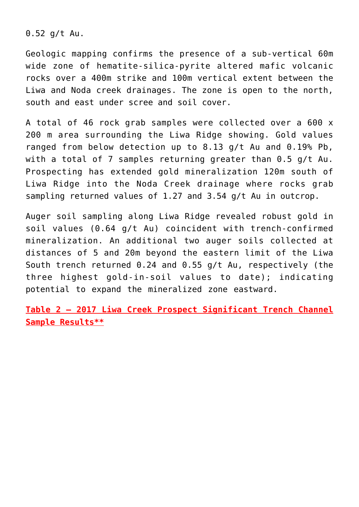0.52 g/t Au.

Geologic mapping confirms the presence of a sub-vertical 60m wide zone of hematite-silica-pyrite altered mafic volcanic rocks over a 400m strike and 100m vertical extent between the Liwa and Noda creek drainages. The zone is open to the north, south and east under scree and soil cover.

A total of 46 rock grab samples were collected over a 600 x 200 m area surrounding the Liwa Ridge showing. Gold values ranged from below detection up to 8.13 g/t Au and 0.19% Pb, with a total of 7 samples returning greater than 0.5 g/t Au. Prospecting has extended gold mineralization 120m south of Liwa Ridge into the Noda Creek drainage where rocks grab sampling returned values of 1.27 and 3.54 g/t Au in outcrop.

Auger soil sampling along Liwa Ridge revealed robust gold in soil values (0.64 g/t Au) coincident with trench-confirmed mineralization. An additional two auger soils collected at distances of 5 and 20m beyond the eastern limit of the Liwa South trench returned 0.24 and 0.55 g/t Au, respectively (the three highest gold-in-soil values to date); indicating potential to expand the mineralized zone eastward.

**Table 2 – 2017 Liwa Creek Prospect Significant Trench Channel Sample Results\*\***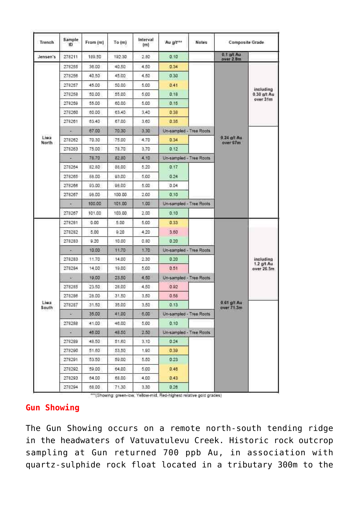| <b>Trench</b> | Sample<br>ю | From (m)     | To (m) | Interval<br>(m) | Au git***               | <b>Notes</b> | <b>Composite Grade</b>    |                                        |
|---------------|-------------|--------------|--------|-----------------|-------------------------|--------------|---------------------------|----------------------------------------|
| Jensen's      | 278211      | 189.50       | 192.30 | 2.80            | 0.10                    |              | 0.1 mit Au<br>over 2.0m   |                                        |
|               | 278255      | 36.00        | 40.50  | 4.50            | 0.34                    |              | $0.24$ g/t Au<br>over 67m | including<br>$0.30$ g/t Au<br>over 31m |
|               | 278256      | 40.50        | 45:00  | 4.50            | 0.30                    |              |                           |                                        |
|               | 278257      | 45.00        | 50.00  | 5.00            | 0.41                    |              |                           |                                        |
|               | 278258      | 50.00        | 55.00  | 5.00            | 0.18                    |              |                           |                                        |
|               | 278259      | 55.00        | 60.00  | 5.00            | 015                     |              |                           |                                        |
|               | 278260      | 60.00        | 63.40  | 3.40            | 0.38                    |              |                           |                                        |
|               | 278201      | 83.40        | 67.00  | 3.60            | 0.35                    |              |                           |                                        |
|               | ×.          | 67.00        | 70.30  | 3.30            | Un-sampled - Tree Roots |              |                           |                                        |
| Liwa<br>North | 278262      | 70.30        | 75.00  | 4.70            | 0.34                    |              |                           |                                        |
|               | 278263      | 75.00        | 78.70  | 3.70            | 0.12                    |              |                           |                                        |
|               |             | 78.70        | 82,80  | 4.10            | Un-sampled - Tree Roots |              |                           |                                        |
|               | 278264      | 8280         | 88.00  | 5.20            | 0.17                    |              |                           |                                        |
|               | 278265      | <b>GB 00</b> | 93.00  | 5.00            | 0.24                    |              |                           |                                        |
|               | 278266      | 03.00        | 98.00  | 5.00            | 0.04                    |              |                           |                                        |
|               | 278267      | 98.00        | 100 00 | 2.00            | 0.10                    |              |                           |                                        |
|               |             | 100.00       | 101.00 | 1.00            | Un-sampled - Tree Roots |              |                           |                                        |
|               | 278267      | 101.00       | 103.00 | 2.00            | 0.10                    |              |                           |                                        |
| Liwa<br>South | 278281      | 0.00         | 5.00   | 5.00            | 0.33                    |              | 0.61 p/l Au<br>over 71.3m | including<br>1.2 g/t Au<br>over 26.5m  |
|               | 278282      | 5.00         | 0.20   | 4.20            | 3.60                    |              |                           |                                        |
|               | 278283      | 9.20         | 10.00  | 0.80            | 0.20                    |              |                           |                                        |
|               |             | 10.00        | 11.70  | 1.70            | Un-sampled - Tree Roots |              |                           |                                        |
|               | 278283      | 11.70        | 14.00  | 2.30            | 0.20                    |              |                           |                                        |
|               | 278284      | 14.00        | 19,00  | 5.00            | 0.51                    |              |                           |                                        |
|               | s           | 19.00        | 23.50  | 4.50            | Un-sampled - Tree Roots |              |                           |                                        |
|               | 278265      | 23.50        | 26,00  | 4.50            | 0.92                    |              |                           |                                        |
|               | 278286      | 28.00        | 31.50  | 3.50            | 0.58                    |              |                           |                                        |
|               | 278287      | 31.50        | 35.00  | 3.50            | 0.13.                   |              |                           |                                        |
|               | SR.         | 35.00        | 41.00  | 6,00            | Un-sampled - Tree Roots |              |                           |                                        |
|               | 278288      | 41.00        | 46.00  | 5,00            | 0.10                    |              |                           |                                        |
|               | ×           | 46.00        | 48.50  | 2.50            | Un-sampled - Tree Roots |              |                           |                                        |
|               | 278269      | 48.50        | 51,60  | 3,10            | 0.24                    |              |                           |                                        |
|               | 278290      | 51.60        | 53.50  | 1,90            | 0.39                    |              |                           |                                        |
|               | 278291      | 53.50        | 59.00  | 5.50            | 0.23                    |              |                           |                                        |
|               | 278292      | 59.00        | 64.00  | 5.00            | 0.40                    |              |                           |                                        |
|               | 278293      | 64.00        | 68.00  | 4.00            | 0.43                    |              |                           |                                        |
|               | 278204      | 68.00        | 71.30  | 3.30            | 0.26.                   |              |                           |                                        |

\*\*\* (Showing: green-low, Yellow-mid, Red-highest relative gold grades)

# **Gun Showing**

The Gun Showing occurs on a remote north-south tending ridge in the headwaters of Vatuvatulevu Creek. Historic rock outcrop sampling at Gun returned 700 ppb Au, in association with quartz-sulphide rock float located in a tributary 300m to the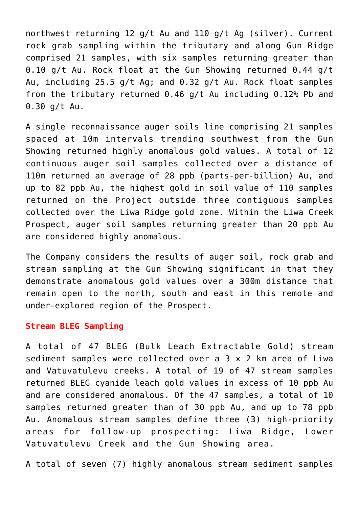northwest returning 12 g/t Au and 110 g/t Ag (silver). Current rock grab sampling within the tributary and along Gun Ridge comprised 21 samples, with six samples returning greater than 0.10 g/t Au. Rock float at the Gun Showing returned 0.44 g/t Au, including 25.5 g/t Ag; and 0.32 g/t Au. Rock float samples from the tributary returned 0.46 g/t Au including 0.12% Pb and 0.30 g/t Au.

A single reconnaissance auger soils line comprising 21 samples spaced at 10m intervals trending southwest from the Gun Showing returned highly anomalous gold values. A total of 12 continuous auger soil samples collected over a distance of 110m returned an average of 28 ppb (parts-per-billion) Au, and up to 82 ppb Au, the highest gold in soil value of 110 samples returned on the Project outside three contiguous samples collected over the Liwa Ridge gold zone. Within the Liwa Creek Prospect, auger soil samples returning greater than 20 ppb Au are considered highly anomalous.

The Company considers the results of auger soil, rock grab and stream sampling at the Gun Showing significant in that they demonstrate anomalous gold values over a 300m distance that remain open to the north, south and east in this remote and under-explored region of the Prospect.

#### **Stream BLEG Sampling**

A total of 47 BLEG (Bulk Leach Extractable Gold) stream sediment samples were collected over a 3 x 2 km area of Liwa and Vatuvatulevu creeks. A total of 19 of 47 stream samples returned BLEG cyanide leach gold values in excess of 10 ppb Au and are considered anomalous. Of the 47 samples, a total of 10 samples returned greater than of 30 ppb Au, and up to 78 ppb Au. Anomalous stream samples define three (3) high-priority areas for follow-up prospecting: Liwa Ridge, Lower Vatuvatulevu Creek and the Gun Showing area.

A total of seven (7) highly anomalous stream sediment samples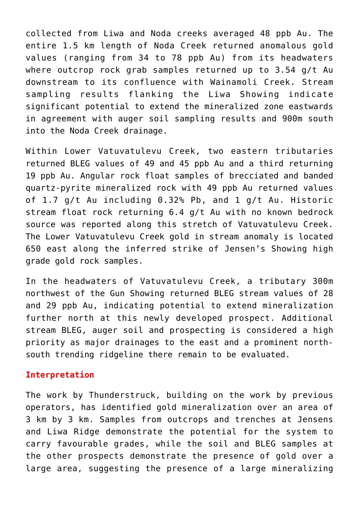collected from Liwa and Noda creeks averaged 48 ppb Au. The entire 1.5 km length of Noda Creek returned anomalous gold values (ranging from 34 to 78 ppb Au) from its headwaters where outcrop rock grab samples returned up to 3.54 g/t Au downstream to its confluence with Wainamoli Creek. Stream sampling results flanking the Liwa Showing indicate significant potential to extend the mineralized zone eastwards in agreement with auger soil sampling results and 900m south into the Noda Creek drainage.

Within Lower Vatuvatulevu Creek, two eastern tributaries returned BLEG values of 49 and 45 ppb Au and a third returning 19 ppb Au. Angular rock float samples of brecciated and banded quartz-pyrite mineralized rock with 49 ppb Au returned values of 1.7 g/t Au including 0.32% Pb, and 1 g/t Au. Historic stream float rock returning 6.4 g/t Au with no known bedrock source was reported along this stretch of Vatuvatulevu Creek. The Lower Vatuvatulevu Creek gold in stream anomaly is located 650 east along the inferred strike of Jensen's Showing high grade gold rock samples.

In the headwaters of Vatuvatulevu Creek, a tributary 300m northwest of the Gun Showing returned BLEG stream values of 28 and 29 ppb Au, indicating potential to extend mineralization further north at this newly developed prospect. Additional stream BLEG, auger soil and prospecting is considered a high priority as major drainages to the east and a prominent northsouth trending ridgeline there remain to be evaluated.

# **Interpretation**

The work by Thunderstruck, building on the work by previous operators, has identified gold mineralization over an area of 3 km by 3 km. Samples from outcrops and trenches at Jensens and Liwa Ridge demonstrate the potential for the system to carry favourable grades, while the soil and BLEG samples at the other prospects demonstrate the presence of gold over a large area, suggesting the presence of a large mineralizing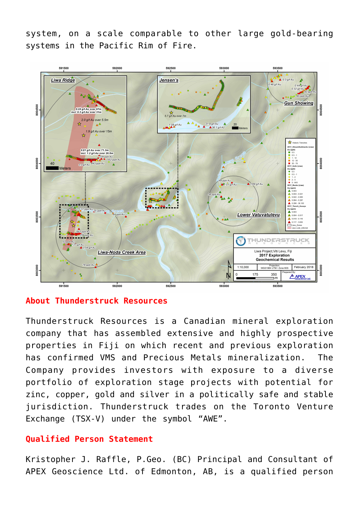system, on a scale comparable to other large gold-bearing systems in the Pacific Rim of Fire.



# **About Thunderstruck Resources**

Thunderstruck Resources is a Canadian mineral exploration company that has assembled extensive and highly prospective properties in Fiji on which recent and previous exploration has confirmed VMS and Precious Metals mineralization. The Company provides investors with exposure to a diverse portfolio of exploration stage projects with potential for zinc, copper, gold and silver in a politically safe and stable jurisdiction. Thunderstruck trades on the Toronto Venture Exchange (TSX-V) under the symbol "AWE".

# **Qualified Person Statement**

Kristopher J. Raffle, P.Geo. (BC) Principal and Consultant of APEX Geoscience Ltd. of Edmonton, AB, is a qualified person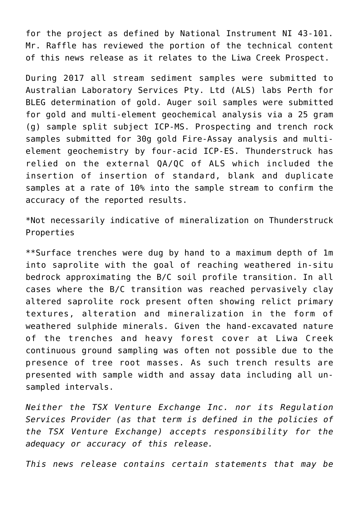for the project as defined by National Instrument NI 43-101. Mr. Raffle has reviewed the portion of the technical content of this news release as it relates to the Liwa Creek Prospect.

During 2017 all stream sediment samples were submitted to Australian Laboratory Services Pty. Ltd (ALS) labs Perth for BLEG determination of gold. Auger soil samples were submitted for gold and multi-element geochemical analysis via a 25 gram (g) sample split subject ICP-MS. Prospecting and trench rock samples submitted for 30g gold Fire-Assay analysis and multielement geochemistry by four-acid ICP-ES. Thunderstruck has relied on the external QA/QC of ALS which included the insertion of insertion of standard, blank and duplicate samples at a rate of 10% into the sample stream to confirm the accuracy of the reported results.

\*Not necessarily indicative of mineralization on Thunderstruck Properties

\*\*Surface trenches were dug by hand to a maximum depth of 1m into saprolite with the goal of reaching weathered in-situ bedrock approximating the B/C soil profile transition. In all cases where the B/C transition was reached pervasively clay altered saprolite rock present often showing relict primary textures, alteration and mineralization in the form of weathered sulphide minerals. Given the hand-excavated nature of the trenches and heavy forest cover at Liwa Creek continuous ground sampling was often not possible due to the presence of tree root masses. As such trench results are presented with sample width and assay data including all unsampled intervals.

*Neither the TSX Venture Exchange Inc. nor its Regulation Services Provider (as that term is defined in the policies of the TSX Venture Exchange) accepts responsibility for the adequacy or accuracy of this release.*

*This news release contains certain statements that may be*